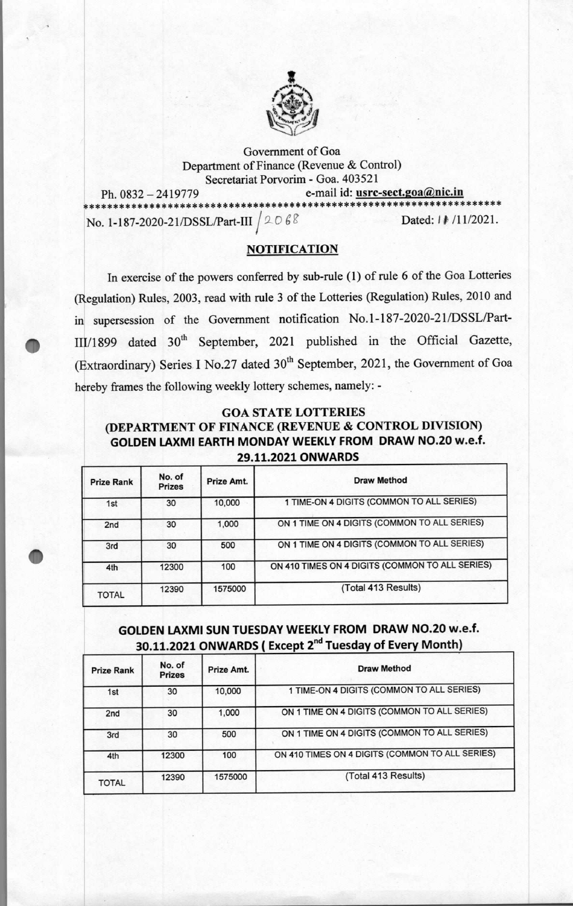

Government of Goa Department of Finance (Revenue & Control) Secretariat Porvorim - Goa. 403521

Ph. 0832 – 2419779 e-mail id: <u>usrc-sect.goa@nic.in e-mail id:</u> where the sected of the sected of the sected of the sected of the sected of the sected of the sected of the sected of the sected of the sected of the sected o \*\*\*\*\*\*\*\*\*\*\*\*\*\*\*\*\*\*\*\*\*\*\*\*\*\* No. 1-187-2020-21/DSSL/Part-III  $/2068$  Dated: 1 # /11/2021.

•

•

#### **NOTIFICATION**

In exercise of the powers conferred by sub-rule (1) of rule 6 of the Goa Lotteries (Regulation) Rules, 2003, read with rule 3 of the Lotteries (Regulation) Rules, 2010 and **in** supersession of the Government notification No.1-187-2020-21/DSSL/Part- 111/1899 dated 30th September, 2021 published in the Official Gazette, (Extraordinary) Series I No.27 dated 30<sup>th</sup> September, 2021, the Government of Goa hereby frames the following weekly lottery schemes, namely: -

#### **GOA STATE LOTTERIES**

## **(DEPARTMENT OF FINANCE (REVENUE & CONTROL DIVISION) GOLDEN LAXMI EARTH MONDAY WEEKLY FROM DRAW NO.20 w.e.f. 29.11.2021 ONWARDS**

| <b>Prize Rank</b> | No. of<br><b>Prizes</b> | Prize Amt. | <b>Draw Method</b>                              |
|-------------------|-------------------------|------------|-------------------------------------------------|
| 1st               | 30                      | 10,000     | 1 TIME-ON 4 DIGITS (COMMON TO ALL SERIES)       |
| 2 <sub>nd</sub>   | 30                      | 1,000      | ON 1 TIME ON 4 DIGITS (COMMON TO ALL SERIES)    |
| 3rd               | 30                      | 500        | ON 1 TIME ON 4 DIGITS (COMMON TO ALL SERIES)    |
| 4th               | 12300                   | 100        | ON 410 TIMES ON 4 DIGITS (COMMON TO ALL SERIES) |
| <b>TOTAL</b>      | 12390                   | 1575000    | (Total 413 Results)                             |

# **GOLDEN LAXMI SUN TUESDAY WEEKLY FROM DRAW NO.20 w.e.f. 30.11.2021 ONWARDS (Except 2<sup>nd</sup> Tuesday of Every Month)**

| <b>Prize Rank</b> | No. of<br><b>Prizes</b> | Prize Amt. | Draw Method                                     |
|-------------------|-------------------------|------------|-------------------------------------------------|
| 1st               | 30                      | 10,000     | 1 TIME-ON 4 DIGITS (COMMON TO ALL SERIES)       |
| 2 <sub>nd</sub>   | 30                      | 1,000      | ON 1 TIME ON 4 DIGITS (COMMON TO ALL SERIES)    |
| 3rd               | 30                      | 500        | ON 1 TIME ON 4 DIGITS (COMMON TO ALL SERIES)    |
| 4th               | 12300                   | 100        | ON 410 TIMES ON 4 DIGITS (COMMON TO ALL SERIES) |
| <b>TOTAL</b>      | 12390                   | 1575000    | (Total 413 Results)                             |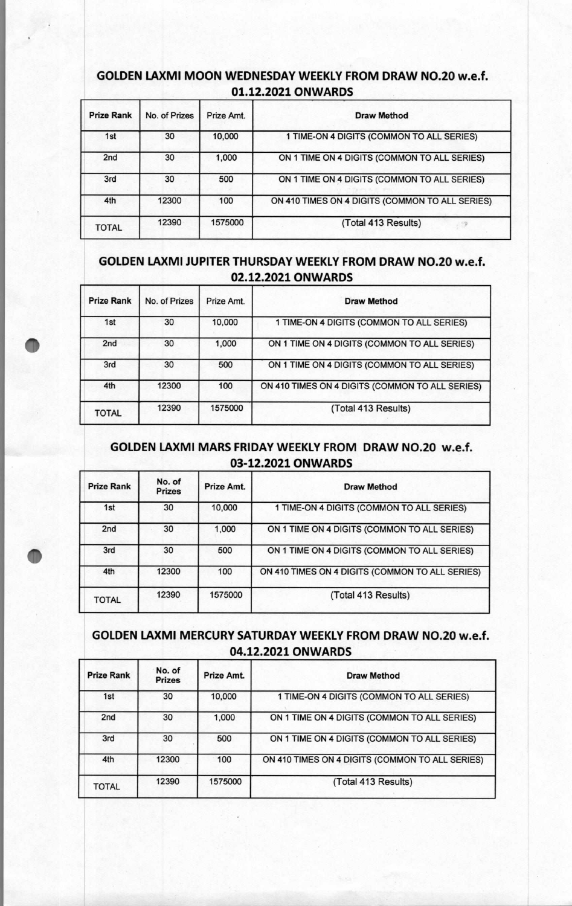# **GOLDEN LAXMI MOON WEDNESDAY WEEKLY FROM DRAW NO.20 w.e.f. 01.12.2021 ONWARDS**

| <b>Prize Rank</b> | No. of Prizes | Prize Amt. | <b>Draw Method</b>                              |
|-------------------|---------------|------------|-------------------------------------------------|
| 1st               | 30            | 10,000     | 1 TIME-ON 4 DIGITS (COMMON TO ALL SERIES)       |
| 2 <sub>nd</sub>   | 30            | 1,000      | ON 1 TIME ON 4 DIGITS (COMMON TO ALL SERIES)    |
| 3rd               | 30            | 500        | ON 1 TIME ON 4 DIGITS (COMMON TO ALL SERIES)    |
| 4th               | 12300         | 100        | ON 410 TIMES ON 4 DIGITS (COMMON TO ALL SERIES) |
| <b>TOTAL</b>      | 12390         | 1575000    | (Total 413 Results)                             |

# **GOLDEN LAXMI JUPITER THURSDAY WEEKLY FROM DRAW NO.20 w.e.f. 02.12.2021 ONWARDS**

| <b>Prize Rank</b> | No. of Prizes | Prize Amt. | <b>Draw Method</b>                              |
|-------------------|---------------|------------|-------------------------------------------------|
| 1st               | 30            | 10,000     | 1 TIME-ON 4 DIGITS (COMMON TO ALL SERIES)       |
| 2 <sub>nd</sub>   | 30            | 1,000      | ON 1 TIME ON 4 DIGITS (COMMON TO ALL SERIES)    |
| 3rd               | 30            | 500        | ON 1 TIME ON 4 DIGITS (COMMON TO ALL SERIES)    |
| 4th               | 12300         | 100        | ON 410 TIMES ON 4 DIGITS (COMMON TO ALL SERIES) |
| <b>TOTAL</b>      | 12390         | 1575000    | (Total 413 Results)                             |

### **GOLDEN LAXMI MARS FRIDAY WEEKLY FROM DRAW NO.20 w.e.f. 03-12.2021 ONWARDS**

| <b>Prize Rank</b> | No. of<br><b>Prizes</b> | Prize Amt. | Draw Method                                     |
|-------------------|-------------------------|------------|-------------------------------------------------|
| 1st               | 30                      | 10,000     | 1 TIME-ON 4 DIGITS (COMMON TO ALL SERIES)       |
| 2nd               | 30                      | 1,000      | ON 1 TIME ON 4 DIGITS (COMMON TO ALL SERIES)    |
| 3rd               | 30                      | 500        | ON 1 TIME ON 4 DIGITS (COMMON TO ALL SERIES)    |
| 4th               | 12300                   | 100        | ON 410 TIMES ON 4 DIGITS (COMMON TO ALL SERIES) |
| <b>TOTAL</b>      | 12390                   | 1575000    | (Total 413 Results)                             |

## **GOLDEN LAXMI MERCURY SATURDAY WEEKLY FROM DRAW NO.20 w.e.f. 04.12.2021 ONWARDS**

| <b>Prize Rank</b> | No. of<br><b>Prizes</b> | Prize Amt. | Draw Method                                     |
|-------------------|-------------------------|------------|-------------------------------------------------|
| 1st               | 30                      | 10,000     | 1 TIME-ON 4 DIGITS (COMMON TO ALL SERIES)       |
| 2 <sub>nd</sub>   | 30                      | 1,000      | ON 1 TIME ON 4 DIGITS (COMMON TO ALL SERIES)    |
| 3rd               | 30                      | 500        | ON 1 TIME ON 4 DIGITS (COMMON TO ALL SERIES)    |
| 4th               | 12300                   | 100        | ON 410 TIMES ON 4 DIGITS (COMMON TO ALL SERIES) |
| <b>TOTAL</b>      | 12390                   | 1575000    | (Total 413 Results)                             |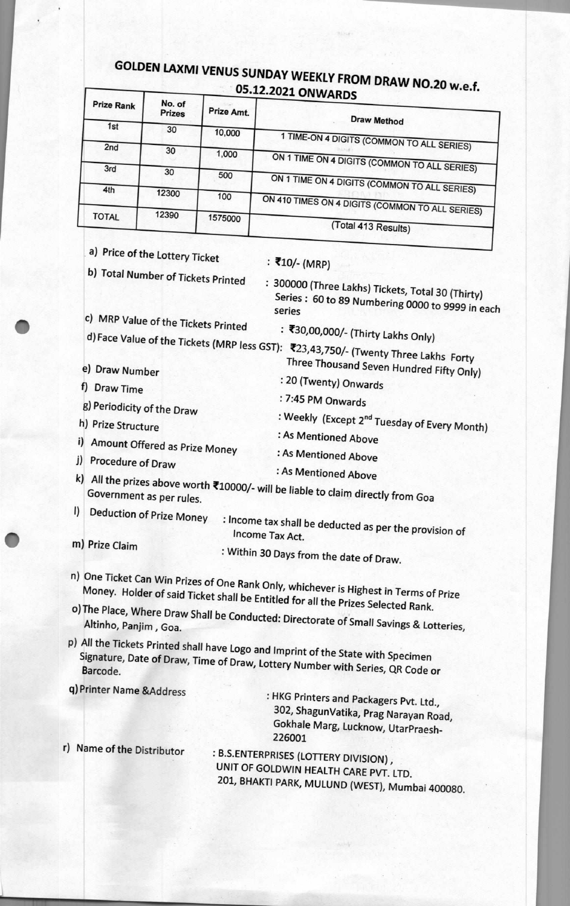# **GOLDEN LAXMI VENUS SUNDAY WEEKLY FROM DRAW NO.20 w.e.f. 05.12.2021 ONWARDS**

| <b>Prize Rank</b> | No. of<br><b>Prizes</b> | <b>Prize Amt.</b> | ---<br><b>Draw Method</b>                       |
|-------------------|-------------------------|-------------------|-------------------------------------------------|
| 1st               | 30                      |                   |                                                 |
|                   |                         | 10,000            | 1 TIME-ON 4 DIGITS (COMMON TO ALL SERIES)       |
| 2nd               | 30                      |                   |                                                 |
|                   |                         | 1,000             | ON 1 TIME ON 4 DIGITS (COMMON TO ALL SERIES)    |
| 3rd               | 30                      |                   |                                                 |
|                   |                         | 500               | ON 1 TIME ON 4 DIGITS (COMMON TO ALL SERIES)    |
| 4th               | 12300                   |                   |                                                 |
|                   |                         | 100               | ON 410 TIMES ON 4 DIGITS (COMMON TO ALL SERIES) |
|                   |                         |                   |                                                 |
| <b>TOTAL</b>      | 12390                   | 1575000           | (Total 413 Results)                             |

a) Price of the Lottery Ticket b) Total Number of Tickets Printed **h)** Prize Structure : As Mentioned Above i) Amount Offered as Prize Money : As Mentioned Above<br>i) Procedure of Draw : As Mentioned Above<br>i) Francisco Draw : As Mentioned Above  $(k)$  All the prizes above worth  $\overline{z}$ 19998  $k$ Government as per rules.<br>Government as per rules. I) Deduction of Prize Money : Income tax shall be deducted as per the provision of Income Tax Act. series<br>
c) MRP Value of the Tickets Printed : ₹30,00,000/- (Thirty Lakhs Only) d) Face Value of the Tickets (MRP less GST): ₹23,43,750/- (Thirty Lakhs Only)<br>The Lakhs Forty e) Draw Number Thousand Seven Hundred Fifty Only) : 20 (Twenty) Onwards<br>f) Draw Time : 20 (Twenty) Onwards g) Periodicity of the Draw : Weekly (Except 2<sup>nd</sup> Tuesday of Every Month) : ₹10/- (MRP) : 300000 (Three Lakhs) Tickets, Total 30 (Thirty) Series : 60 to 89 Numbering 0000 to 9999 in each series m) Prize Claim : Within 30 Days from the date of Draw. n) Money, Holder of Tickets of One Rank Only, whichever is Highest in Terms of Prize Money. Holder of said Ticket shall be Entitled for all the Prizes Selected Rank. Altinho, Panjim, Goa.<br>
Altinho, Panjim, Goa.

p) All the Tickets Printed shall have Logo and Imprint of the State with Speciment Signature, Date of Draw, Time of Draw, Lottery Number with Series, QR Code or Barcode.

q) Printer Name &Address

: HKG Printers and Packagers Pvt. Ltd., 302, ShagunVatika, Prag Narayan Road, Gokhale Marg, Lucknow, UtarPraesh-226001

r) Name of the Distributor

: B.S.ENTERPRISES (LOTTERY DIVISION) , UNIT OF GOLDWIN HEALTH CARE PVT. LTD. 201, BHAKTI PARK, MULUND (WEST), Mumbai 400080.